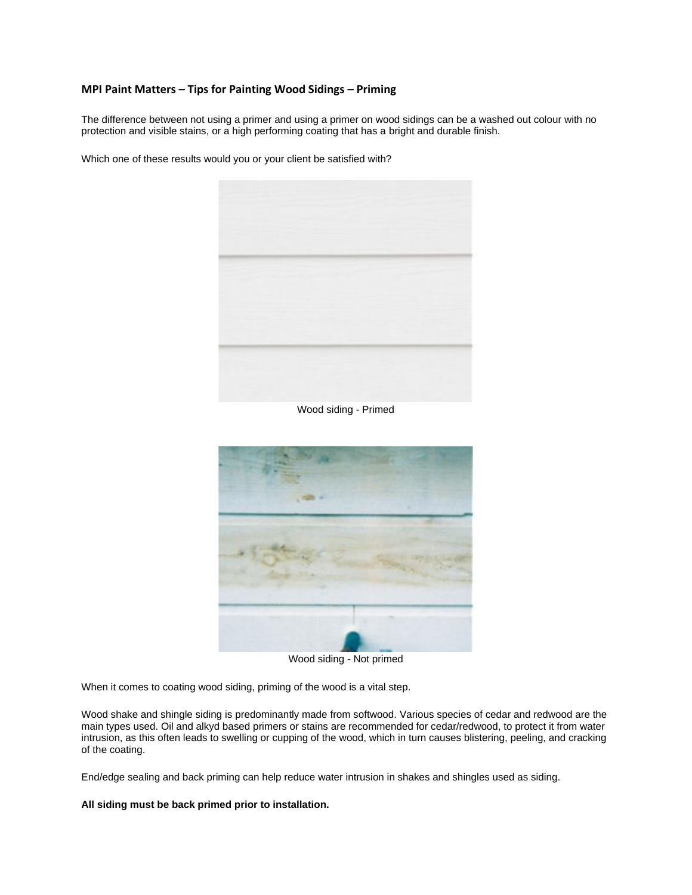## **MPI Paint Matters – Tips for Painting Wood Sidings – Priming**

The difference between not using a primer and using a primer on wood sidings can be a washed out colour with no protection and visible stains, or a high performing coating that has a bright and durable finish.

Which one of these results would you or your client be satisfied with?



Wood siding - Primed



Wood siding - Not primed

When it comes to coating wood siding, priming of the wood is a vital step.

Wood shake and shingle siding is predominantly made from softwood. Various species of cedar and redwood are the main types used. Oil and alkyd based primers or stains are recommended for cedar/redwood, to protect it from water intrusion, as this often leads to swelling or cupping of the wood, which in turn causes blistering, peeling, and cracking of the coating.

End/edge sealing and back priming can help reduce water intrusion in shakes and shingles used as siding.

**All siding must be back primed prior to installation.**